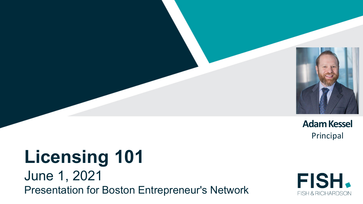

**Adam Kessel** Principal

## **Licensing 101** June 1, 2021 Presentation for Boston Entrepreneur's Network

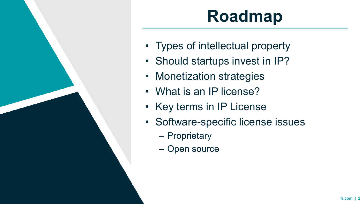

# **Roadmap**

- Types of intellectual property
- Should startups invest in IP?
- Monetization strategies
- What is an IP license?
- Key terms in IP License
- Software-specific license issues
	- Proprietary
	- Open source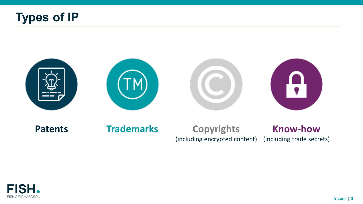



#### **Know-how** (including trade secrets) **Patents Trademarks Copyrights** (including encrypted content)

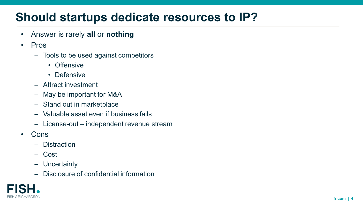## **Should startups dedicate resources to IP?**

- Answer is rarely **all** or **nothing**
- Pros
	- Tools to be used against competitors
		- Offensive
		- Defensive
	- Attract investment
	- May be important for M&A
	- Stand out in marketplace
	- Valuable asset even if business fails
	- License-out independent revenue stream
- Cons
	- Distraction
	- Cost
	- Uncertainty
	- Disclosure of confidential information

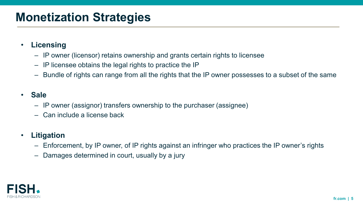#### **Monetization Strategies**

- **Licensing**
	- IP owner (licensor) retains ownership and grants certain rights to licensee
	- IP licensee obtains the legal rights to practice the IP
	- Bundle of rights can range from all the rights that the IP owner possesses to a subset of the same

#### • **Sale**

- IP owner (assignor) transfers ownership to the purchaser (assignee)
- Can include a license back

#### • **Litigation**

- Enforcement, by IP owner, of IP rights against an infringer who practices the IP owner's rights
- Damages determined in court, usually by a jury

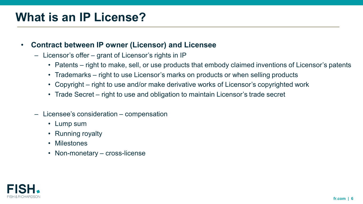### **What is an IP License?**

- **Contract between IP owner (Licensor) and Licensee**
	- Licensor's offer grant of Licensor's rights in IP
		- Patents right to make, sell, or use products that embody claimed inventions of Licensor's patents
		- Trademarks right to use Licensor's marks on products or when selling products
		- Copyright right to use and/or make derivative works of Licensor's copyrighted work
		- Trade Secret right to use and obligation to maintain Licensor's trade secret
	- Licensee's consideration compensation
		- Lump sum
		- Running royalty
		- Milestones
		- Non-monetary cross-license

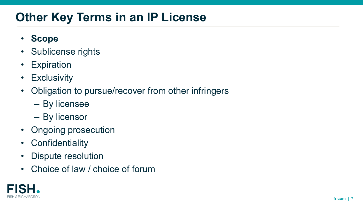## **Other Key Terms in an IP License**

- **Scope**
- Sublicense rights
- Expiration
- Exclusivity
- Obligation to pursue/recover from other infringers
	- By licensee
	- By licensor
- Ongoing prosecution
- Confidentiality
- Dispute resolution
- Choice of law / choice of forum

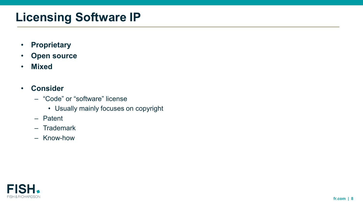## **Licensing Software IP**

- **Proprietary**
- **Open source**
- **Mixed**
- **Consider**
	- "Code" or "software" license
		- Usually mainly focuses on copyright
	- Patent
	- Trademark
	- Know-how

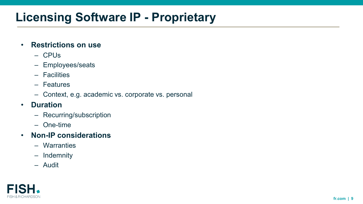## **Licensing Software IP - Proprietary**

#### • **Restrictions on use**

- CPUs
- Employees/seats
- Facilities
- Features
- Context, e.g. academic vs. corporate vs. personal
- **Duration**
	- Recurring/subscription
	- One-time
- **Non-IP considerations**
	- Warranties
	- Indemnity
	- Audit

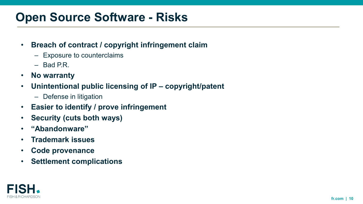### **Open Source Software - Risks**

#### • **Breach of contract / copyright infringement claim**

- Exposure to counterclaims
- Bad P.R.
- **No warranty**
- **Unintentional public licensing of IP – copyright/patent**
	- Defense in litigation
- **Easier to identify / prove infringement**
- **Security (cuts both ways)**
- **"Abandonware"**
- **Trademark issues**
- **Code provenance**
- **Settlement complications**